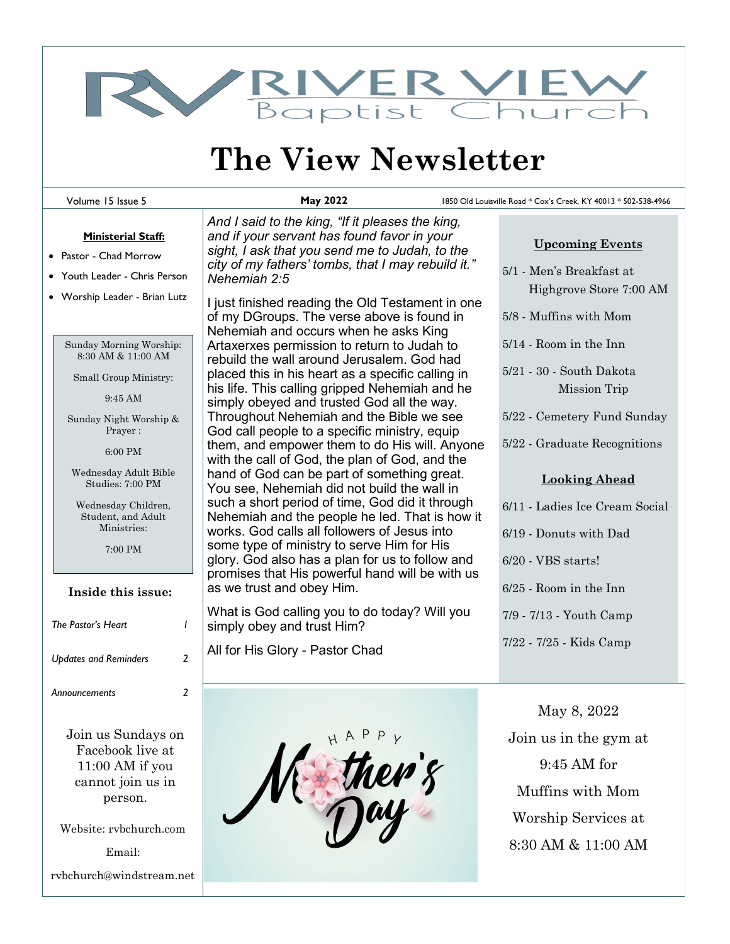

# **The View Newsletter**

Volume 15 Issue 5

**May 2022** 1850 Old Louisville Road \* Cox's Creek, KY 40013 \* 502-538-4966

#### **Ministerial Staff:**

- Pastor Chad Morrow
- Youth Leader Chris Person
- Worship Leader Brian Lutz

Sunday Morning Worship: 8:30 AM & 11:00 AM

Small Group Ministry:

9:45 AM

Sunday Night Worship & Prayer :

6:00 PM

Wednesday Adult Bible Studies: 7:00 PM

Wednesday Children, Student, and Adult Ministries:

7:00 PM

#### **Inside this issue:**

| The Pastor's Heart           |   |
|------------------------------|---|
| <b>Updates and Reminders</b> | 2 |
| Announcements                | 2 |

Join us Sundays on Facebook live at 11:00 AM if you cannot join us in person.

Website: rvbchurch.com

Email:

rvbchurch@windstream.net

*And I said to the king, "If it pleases the king, and if your servant has found favor in your sight, I ask that you send me to Judah, to the city of my fathers' tombs, that I may rebuild it." Nehemiah 2:5*

I just finished reading the Old Testament in one of my DGroups. The verse above is found in Nehemiah and occurs when he asks King Artaxerxes permission to return to Judah to rebuild the wall around Jerusalem. God had placed this in his heart as a specific calling in his life. This calling gripped Nehemiah and he simply obeyed and trusted God all the way. Throughout Nehemiah and the Bible we see God call people to a specific ministry, equip them, and empower them to do His will. Anyone with the call of God, the plan of God, and the hand of God can be part of something great. You see, Nehemiah did not build the wall in such a short period of time, God did it through Nehemiah and the people he led. That is how it works. God calls all followers of Jesus into some type of ministry to serve Him for His glory. God also has a plan for us to follow and promises that His powerful hand will be with us as we trust and obey Him.

What is God calling you to do today? Will you simply obey and trust Him?

All for His Glory - Pastor Chad



| <b>Upcoming Events</b> |  |
|------------------------|--|
|                        |  |

- 5/1 Men's Breakfast at Highgrove Store 7:00 AM
- 5/8 Muffins with Mom
- 5/14 Room in the Inn
- 5/21 30 South Dakota Mission Trip
- 5/22 Cemetery Fund Sunday
- 5/22 Graduate Recognitions

### **Looking Ahead**

- 6/11 Ladies Ice Cream Social
- 6/19 Donuts with Dad
- 6/20 VBS starts!
- 6/25 Room in the Inn
- 7/9 7/13 Youth Camp
- 7/22 7/25 Kids Camp

May 8, 2022 Join us in the gym at 9:45 AM for Muffins with Mom Worship Services at 8:30 AM & 11:00 AM